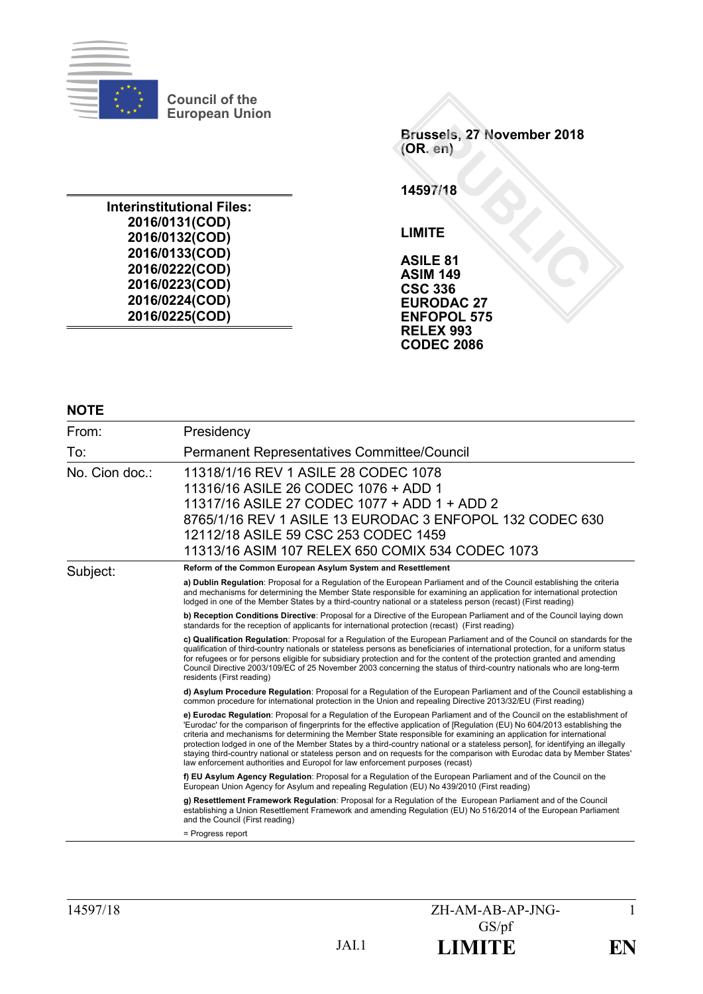

**Council of the European Union**

**Interinstitutional Files: 2016/0131(COD) 2016/0132(COD) 2016/0133(COD) 2016/0222(COD) 2016/0223(COD) 2016/0224(COD) 2016/0225(COD)**

**Brussels, 27 November 2018 (OR. en)**

**14597/18**

**LIMITE**

**ASILE 81 ASIM 149 CSC 336 EURODAC 27 ENFOPOL 575 RELEX 993 CODEC 2086**

#### **NOTE**

| From:          | Presidency                                                                                                                                                                                                                                                                                                                                                                                                                                                                                                                                                                                                                                                                                                                   |
|----------------|------------------------------------------------------------------------------------------------------------------------------------------------------------------------------------------------------------------------------------------------------------------------------------------------------------------------------------------------------------------------------------------------------------------------------------------------------------------------------------------------------------------------------------------------------------------------------------------------------------------------------------------------------------------------------------------------------------------------------|
| To:            | Permanent Representatives Committee/Council                                                                                                                                                                                                                                                                                                                                                                                                                                                                                                                                                                                                                                                                                  |
| No. Cion doc.: | 11318/1/16 REV 1 ASILE 28 CODEC 1078<br>11316/16 ASILE 26 CODEC 1076 + ADD 1<br>11317/16 ASILE 27 CODEC 1077 + ADD 1 + ADD 2<br>8765/1/16 REV 1 ASILE 13 EURODAC 3 ENFOPOL 132 CODEC 630<br>12112/18 ASILE 59 CSC 253 CODEC 1459<br>11313/16 ASIM 107 RELEX 650 COMIX 534 CODEC 1073                                                                                                                                                                                                                                                                                                                                                                                                                                         |
| Subject:       | Reform of the Common European Asylum System and Resettlement                                                                                                                                                                                                                                                                                                                                                                                                                                                                                                                                                                                                                                                                 |
|                | a) Dublin Regulation: Proposal for a Regulation of the European Parliament and of the Council establishing the criteria<br>and mechanisms for determining the Member State responsible for examining an application for international protection<br>lodged in one of the Member States by a third-country national or a stateless person (recast) (First reading)                                                                                                                                                                                                                                                                                                                                                            |
|                | b) Reception Conditions Directive: Proposal for a Directive of the European Parliament and of the Council laying down<br>standards for the reception of applicants for international protection (recast) (First reading)                                                                                                                                                                                                                                                                                                                                                                                                                                                                                                     |
|                | c) Qualification Regulation: Proposal for a Regulation of the European Parliament and of the Council on standards for the<br>qualification of third-country nationals or stateless persons as beneficiaries of international protection, for a uniform status<br>for refugees or for persons eligible for subsidiary protection and for the content of the protection granted and amending<br>Council Directive 2003/109/EC of 25 November 2003 concerning the status of third-country nationals who are long-term<br>residents (First reading)                                                                                                                                                                              |
|                | d) Asylum Procedure Regulation: Proposal for a Regulation of the European Parliament and of the Council establishing a<br>common procedure for international protection in the Union and repealing Directive 2013/32/EU (First reading)                                                                                                                                                                                                                                                                                                                                                                                                                                                                                      |
|                | e) Eurodac Regulation: Proposal for a Regulation of the European Parliament and of the Council on the establishment of<br>'Eurodac' for the comparison of fingerprints for the effective application of [Regulation (EU) No 604/2013 establishing the<br>criteria and mechanisms for determining the Member State responsible for examining an application for international<br>protection lodged in one of the Member States by a third-country national or a stateless person], for identifying an illegally<br>staying third-country national or stateless person and on requests for the comparison with Eurodac data by Member States'<br>law enforcement authorities and Europol for law enforcement purposes (recast) |
|                | f) EU Asylum Agency Regulation: Proposal for a Regulation of the European Parliament and of the Council on the<br>European Union Agency for Asylum and repealing Regulation (EU) No 439/2010 (First reading)                                                                                                                                                                                                                                                                                                                                                                                                                                                                                                                 |
|                | g) Resettlement Framework Regulation: Proposal for a Regulation of the European Parliament and of the Council<br>establishing a Union Resettlement Framework and amending Regulation (EU) No 516/2014 of the European Parliament<br>and the Council (First reading)                                                                                                                                                                                                                                                                                                                                                                                                                                                          |
|                | = Progress report                                                                                                                                                                                                                                                                                                                                                                                                                                                                                                                                                                                                                                                                                                            |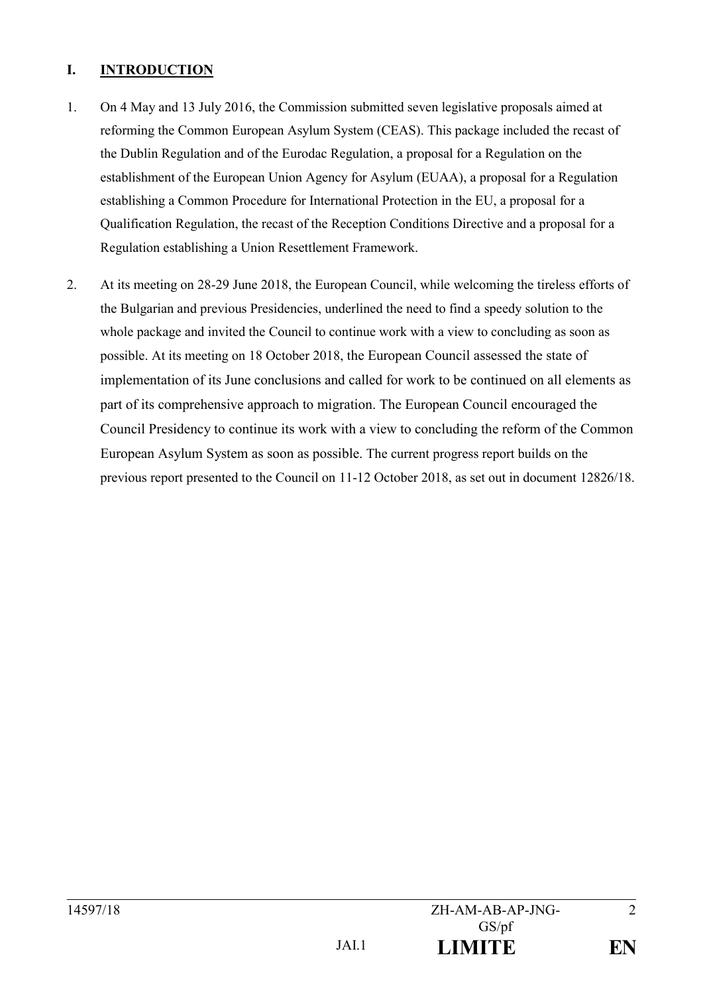# **I. INTRODUCTION**

- 1. On 4 May and 13 July 2016, the Commission submitted seven legislative proposals aimed at reforming the Common European Asylum System (CEAS). This package included the recast of the Dublin Regulation and of the Eurodac Regulation, a proposal for a Regulation on the establishment of the European Union Agency for Asylum (EUAA), a proposal for a Regulation establishing a Common Procedure for International Protection in the EU, a proposal for a Qualification Regulation, the recast of the Reception Conditions Directive and a proposal for a Regulation establishing a Union Resettlement Framework.
- 2. At its meeting on 28-29 June 2018, the European Council, while welcoming the tireless efforts of the Bulgarian and previous Presidencies, underlined the need to find a speedy solution to the whole package and invited the Council to continue work with a view to concluding as soon as possible. At its meeting on 18 October 2018, the European Council assessed the state of implementation of its June conclusions and called for work to be continued on all elements as part of its comprehensive approach to migration. The European Council encouraged the Council Presidency to continue its work with a view to concluding the reform of the Common European Asylum System as soon as possible. The current progress report builds on the previous report presented to the Council on 11-12 October 2018, as set out in document 12826/18.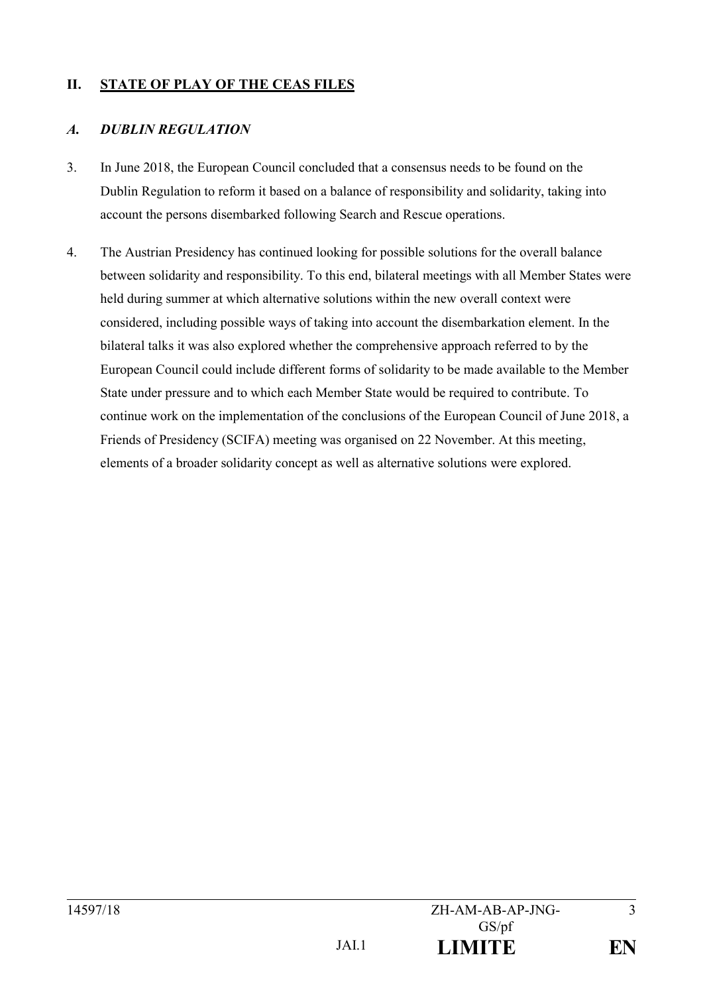# **II. STATE OF PLAY OF THE CEAS FILES**

### *A. DUBLIN REGULATION*

- 3. In June 2018, the European Council concluded that a consensus needs to be found on the Dublin Regulation to reform it based on a balance of responsibility and solidarity, taking into account the persons disembarked following Search and Rescue operations.
- 4. The Austrian Presidency has continued looking for possible solutions for the overall balance between solidarity and responsibility. To this end, bilateral meetings with all Member States were held during summer at which alternative solutions within the new overall context were considered, including possible ways of taking into account the disembarkation element. In the bilateral talks it was also explored whether the comprehensive approach referred to by the European Council could include different forms of solidarity to be made available to the Member State under pressure and to which each Member State would be required to contribute. To continue work on the implementation of the conclusions of the European Council of June 2018, a Friends of Presidency (SCIFA) meeting was organised on 22 November. At this meeting, elements of a broader solidarity concept as well as alternative solutions were explored.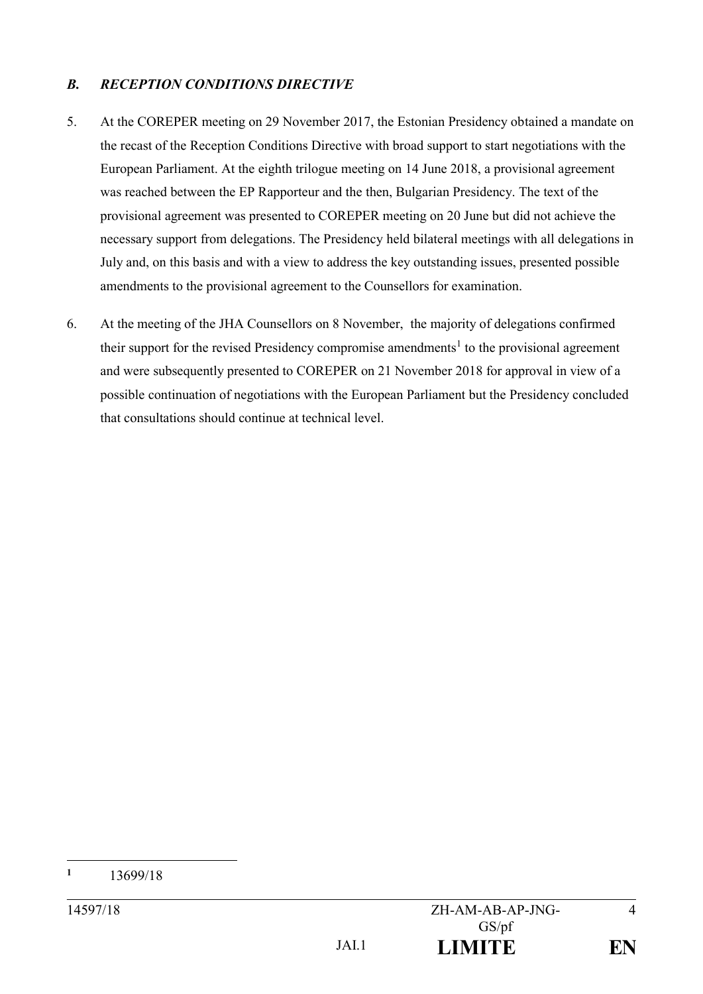## *B. RECEPTION CONDITIONS DIRECTIVE*

- 5. At the COREPER meeting on 29 November 2017, the Estonian Presidency obtained a mandate on the recast of the Reception Conditions Directive with broad support to start negotiations with the European Parliament. At the eighth trilogue meeting on 14 June 2018, a provisional agreement was reached between the EP Rapporteur and the then, Bulgarian Presidency. The text of the provisional agreement was presented to COREPER meeting on 20 June but did not achieve the necessary support from delegations. The Presidency held bilateral meetings with all delegations in July and, on this basis and with a view to address the key outstanding issues, presented possible amendments to the provisional agreement to the Counsellors for examination.
- 6. At the meeting of the JHA Counsellors on 8 November, the majority of delegations confirmed their support for the revised Presidency compromise amendments<sup>1</sup> to the provisional agreement and were subsequently presented to COREPER on 21 November 2018 for approval in view of a possible continuation of negotiations with the European Parliament but the Presidency concluded that consultations should continue at technical level.

 $\mathbf{1}$ **<sup>1</sup>** 13699/18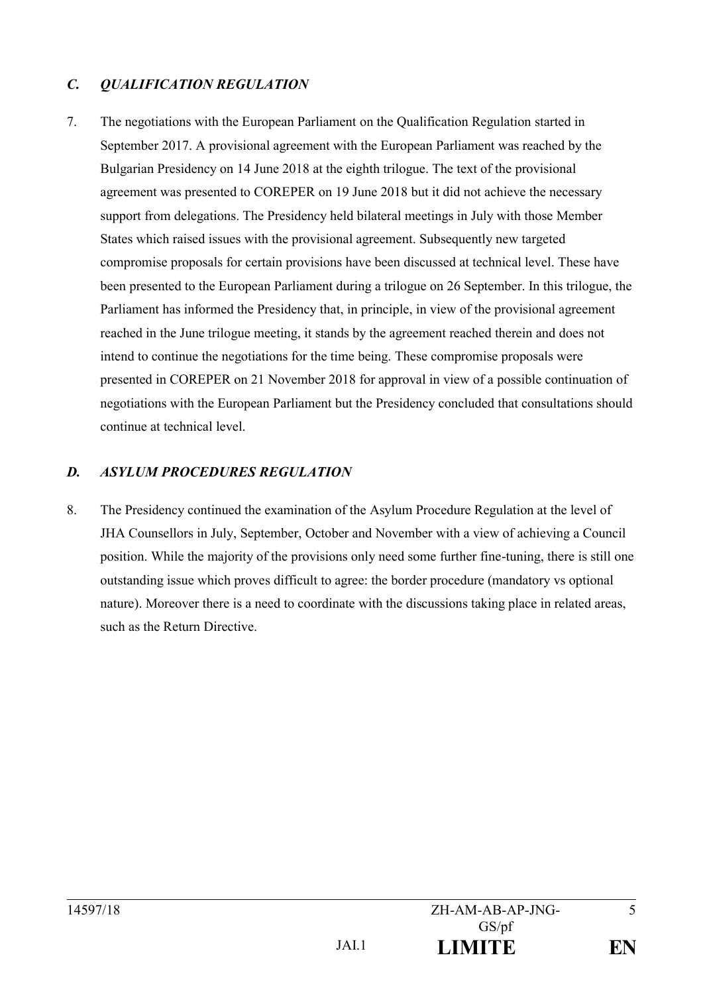## *C. QUALIFICATION REGULATION*

7. The negotiations with the European Parliament on the Qualification Regulation started in September 2017. A provisional agreement with the European Parliament was reached by the Bulgarian Presidency on 14 June 2018 at the eighth trilogue. The text of the provisional agreement was presented to COREPER on 19 June 2018 but it did not achieve the necessary support from delegations. The Presidency held bilateral meetings in July with those Member States which raised issues with the provisional agreement. Subsequently new targeted compromise proposals for certain provisions have been discussed at technical level. These have been presented to the European Parliament during a trilogue on 26 September. In this trilogue, the Parliament has informed the Presidency that, in principle, in view of the provisional agreement reached in the June trilogue meeting, it stands by the agreement reached therein and does not intend to continue the negotiations for the time being. These compromise proposals were presented in COREPER on 21 November 2018 for approval in view of a possible continuation of negotiations with the European Parliament but the Presidency concluded that consultations should continue at technical level.

#### *D. ASYLUM PROCEDURES REGULATION*

8. The Presidency continued the examination of the Asylum Procedure Regulation at the level of JHA Counsellors in July, September, October and November with a view of achieving a Council position. While the majority of the provisions only need some further fine-tuning, there is still one outstanding issue which proves difficult to agree: the border procedure (mandatory vs optional nature). Moreover there is a need to coordinate with the discussions taking place in related areas, such as the Return Directive.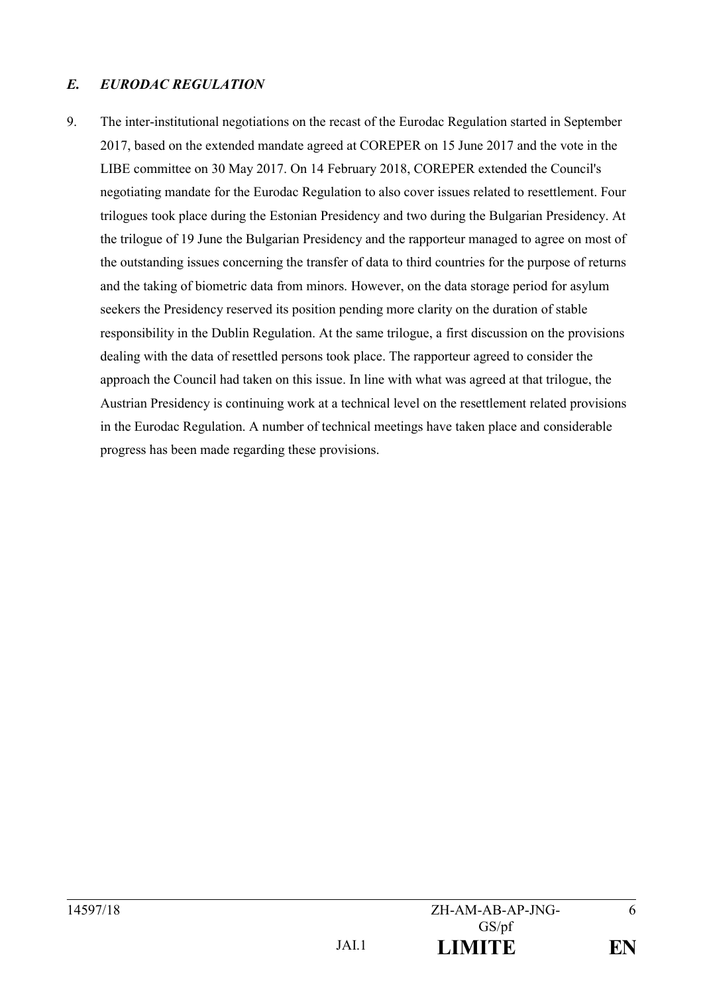## *E. EURODAC REGULATION*

9. The inter-institutional negotiations on the recast of the Eurodac Regulation started in September 2017, based on the extended mandate agreed at COREPER on 15 June 2017 and the vote in the LIBE committee on 30 May 2017. On 14 February 2018, COREPER extended the Council's negotiating mandate for the Eurodac Regulation to also cover issues related to resettlement. Four trilogues took place during the Estonian Presidency and two during the Bulgarian Presidency. At the trilogue of 19 June the Bulgarian Presidency and the rapporteur managed to agree on most of the outstanding issues concerning the transfer of data to third countries for the purpose of returns and the taking of biometric data from minors. However, on the data storage period for asylum seekers the Presidency reserved its position pending more clarity on the duration of stable responsibility in the Dublin Regulation. At the same trilogue, a first discussion on the provisions dealing with the data of resettled persons took place. The rapporteur agreed to consider the approach the Council had taken on this issue. In line with what was agreed at that trilogue, the Austrian Presidency is continuing work at a technical level on the resettlement related provisions in the Eurodac Regulation. A number of technical meetings have taken place and considerable progress has been made regarding these provisions.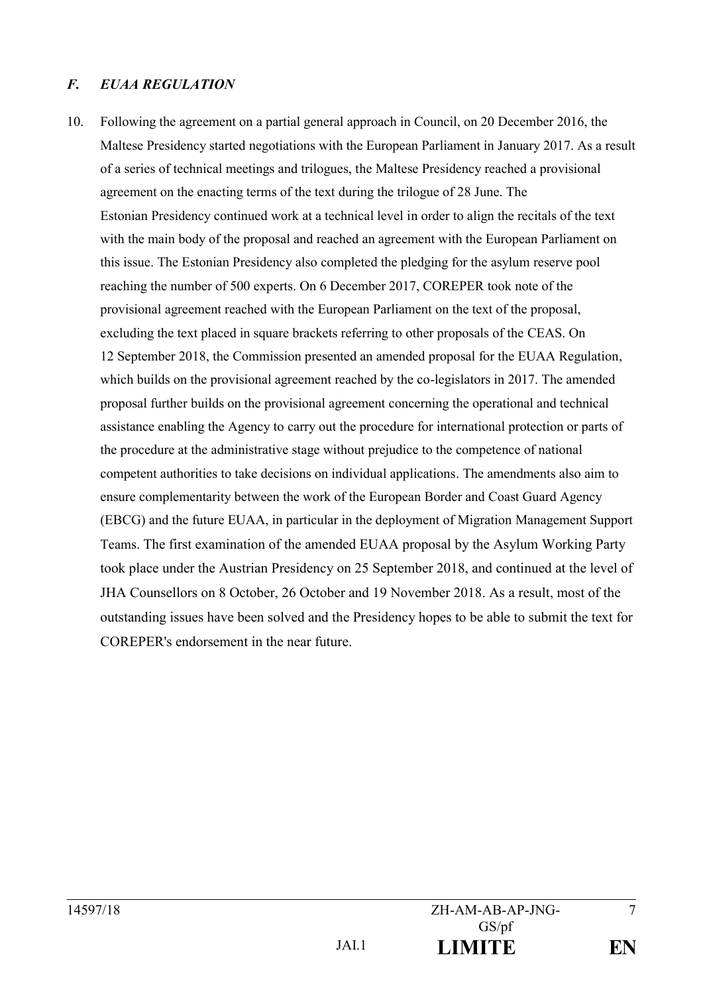### *F. EUAA REGULATION*

10. Following the agreement on a partial general approach in Council, on 20 December 2016, the Maltese Presidency started negotiations with the European Parliament in January 2017. As a result of a series of technical meetings and trilogues, the Maltese Presidency reached a provisional agreement on the enacting terms of the text during the trilogue of 28 June. The Estonian Presidency continued work at a technical level in order to align the recitals of the text with the main body of the proposal and reached an agreement with the European Parliament on this issue. The Estonian Presidency also completed the pledging for the asylum reserve pool reaching the number of 500 experts. On 6 December 2017, COREPER took note of the provisional agreement reached with the European Parliament on the text of the proposal, excluding the text placed in square brackets referring to other proposals of the CEAS. On 12 September 2018, the Commission presented an amended proposal for the EUAA Regulation, which builds on the provisional agreement reached by the co-legislators in 2017. The amended proposal further builds on the provisional agreement concerning the operational and technical assistance enabling the Agency to carry out the procedure for international protection or parts of the procedure at the administrative stage without prejudice to the competence of national competent authorities to take decisions on individual applications. The amendments also aim to ensure complementarity between the work of the European Border and Coast Guard Agency (EBCG) and the future EUAA, in particular in the deployment of Migration Management Support Teams. The first examination of the amended EUAA proposal by the Asylum Working Party took place under the Austrian Presidency on 25 September 2018, and continued at the level of JHA Counsellors on 8 October, 26 October and 19 November 2018. As a result, most of the outstanding issues have been solved and the Presidency hopes to be able to submit the text for COREPER's endorsement in the near future.